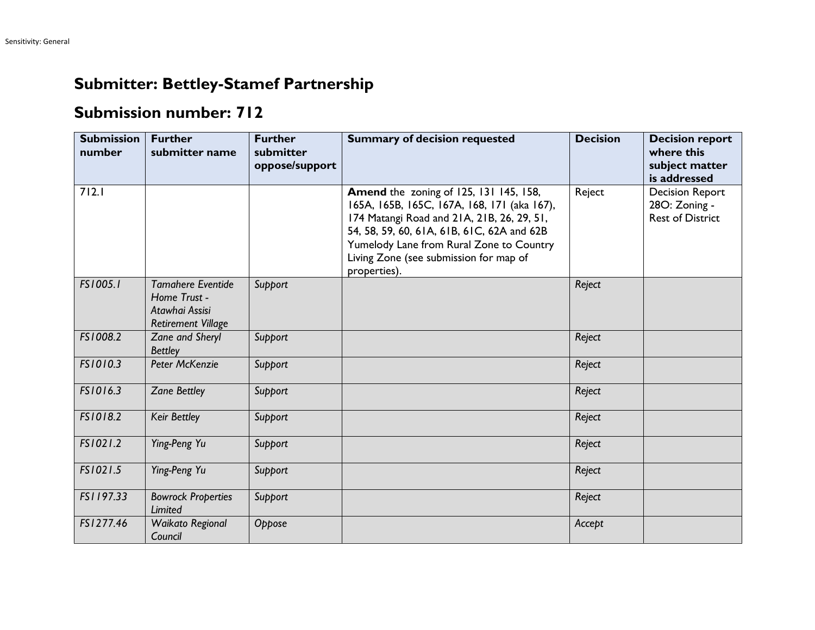## **Submitter: Bettley-Stamef Partnership**

## **Submission number: 712**

| <b>Submission</b><br>number | <b>Further</b><br>submitter name                                                        | <b>Further</b><br>submitter<br>oppose/support | <b>Summary of decision requested</b>                                                                                                                                                                                                                                                           | <b>Decision</b> | <b>Decision report</b><br>where this<br>subject matter<br>is addressed |
|-----------------------------|-----------------------------------------------------------------------------------------|-----------------------------------------------|------------------------------------------------------------------------------------------------------------------------------------------------------------------------------------------------------------------------------------------------------------------------------------------------|-----------------|------------------------------------------------------------------------|
| 712.1                       |                                                                                         |                                               | <b>Amend the zoning of 125, 131 145, 158,</b><br>165A, 165B, 165C, 167A, 168, 171 (aka 167),<br>174 Matangi Road and 21A, 21B, 26, 29, 51,<br>54, 58, 59, 60, 61A, 61B, 61C, 62A and 62B<br>Yumelody Lane from Rural Zone to Country<br>Living Zone (see submission for map of<br>properties). | Reject          | <b>Decision Report</b><br>28O: Zoning -<br><b>Rest of District</b>     |
| FS1005.1                    | <b>Tamahere Eventide</b><br>Home Trust -<br>Atawhai Assisi<br><b>Retirement Village</b> | Support                                       |                                                                                                                                                                                                                                                                                                | Reject          |                                                                        |
| FS1008.2                    | Zane and Sheryl<br><b>Bettley</b>                                                       | Support                                       |                                                                                                                                                                                                                                                                                                | Reject          |                                                                        |
| FS1010.3                    | Peter McKenzie                                                                          | Support                                       |                                                                                                                                                                                                                                                                                                | Reject          |                                                                        |
| FS1016.3                    | <b>Zane Bettley</b>                                                                     | Support                                       |                                                                                                                                                                                                                                                                                                | Reject          |                                                                        |
| FS1018.2                    | Keir Bettley                                                                            | Support                                       |                                                                                                                                                                                                                                                                                                | Reject          |                                                                        |
| FS1021.2                    | Ying-Peng Yu                                                                            | Support                                       |                                                                                                                                                                                                                                                                                                | Reject          |                                                                        |
| FS1021.5                    | Ying-Peng Yu                                                                            | Support                                       |                                                                                                                                                                                                                                                                                                | Reject          |                                                                        |
| FS1197.33                   | <b>Bowrock Properties</b><br>Limited                                                    | Support                                       |                                                                                                                                                                                                                                                                                                | Reject          |                                                                        |
| FS1277.46                   | Waikato Regional<br>Council                                                             | Oppose                                        |                                                                                                                                                                                                                                                                                                | Accept          |                                                                        |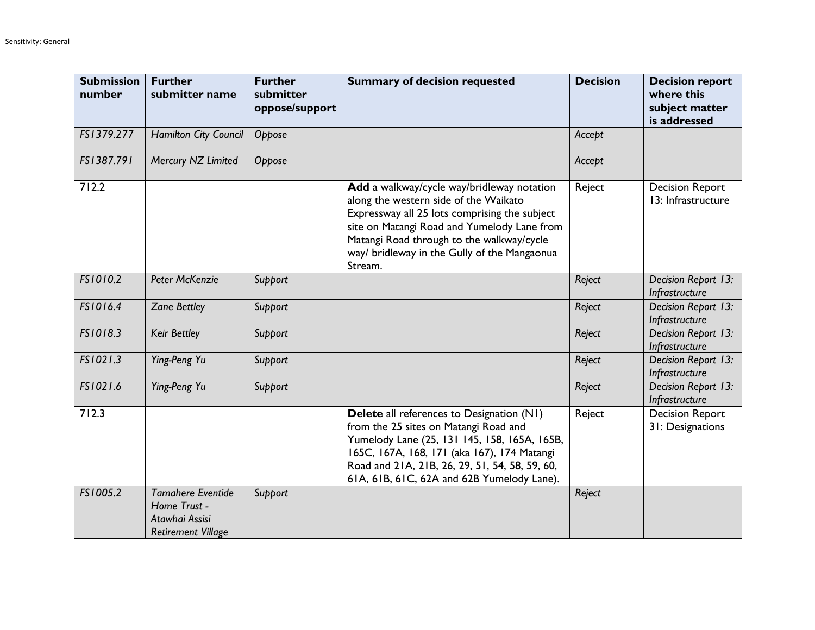| <b>Submission</b><br>number | <b>Further</b><br>submitter name                                                        | <b>Further</b><br>submitter<br>oppose/support | <b>Summary of decision requested</b>                                                                                                                                                                                                                                                        | <b>Decision</b> | <b>Decision report</b><br>where this<br>subject matter<br>is addressed |
|-----------------------------|-----------------------------------------------------------------------------------------|-----------------------------------------------|---------------------------------------------------------------------------------------------------------------------------------------------------------------------------------------------------------------------------------------------------------------------------------------------|-----------------|------------------------------------------------------------------------|
| FS1379.277                  | Hamilton City Council                                                                   | Oppose                                        |                                                                                                                                                                                                                                                                                             | Accept          |                                                                        |
| FS1387.791                  | Mercury NZ Limited                                                                      | Oppose                                        |                                                                                                                                                                                                                                                                                             | Accept          |                                                                        |
| 712.2                       |                                                                                         |                                               | Add a walkway/cycle way/bridleway notation<br>along the western side of the Waikato<br>Expressway all 25 lots comprising the subject<br>site on Matangi Road and Yumelody Lane from<br>Matangi Road through to the walkway/cycle<br>way/ bridleway in the Gully of the Mangaonua<br>Stream. | Reject          | <b>Decision Report</b><br>13: Infrastructure                           |
| FS1010.2                    | Peter McKenzie                                                                          | Support                                       |                                                                                                                                                                                                                                                                                             | Reject          | Decision Report 13:<br>Infrastructure                                  |
| FS1016.4                    | <b>Zane Bettley</b>                                                                     | Support                                       |                                                                                                                                                                                                                                                                                             | Reject          | Decision Report 13:<br>Infrastructure                                  |
| FS1018.3                    | Keir Bettley                                                                            | Support                                       |                                                                                                                                                                                                                                                                                             | Reject          | Decision Report 13:<br>Infrastructure                                  |
| FS1021.3                    | Ying-Peng Yu                                                                            | Support                                       |                                                                                                                                                                                                                                                                                             | Reject          | Decision Report 13:<br>Infrastructure                                  |
| FS1021.6                    | Ying-Peng Yu                                                                            | Support                                       |                                                                                                                                                                                                                                                                                             | Reject          | Decision Report 13:<br>Infrastructure                                  |
| 712.3                       |                                                                                         |                                               | <b>Delete</b> all references to Designation (N1)<br>from the 25 sites on Matangi Road and<br>Yumelody Lane (25, 131 145, 158, 165A, 165B,<br>165C, 167A, 168, 171 (aka 167), 174 Matangi<br>Road and 21A, 21B, 26, 29, 51, 54, 58, 59, 60,<br>61A, 61B, 61C, 62A and 62B Yumelody Lane).    | Reject          | <b>Decision Report</b><br>31: Designations                             |
| FS1005.2                    | <b>Tamahere Eventide</b><br>Home Trust -<br>Atawhai Assisi<br><b>Retirement Village</b> | Support                                       |                                                                                                                                                                                                                                                                                             | Reject          |                                                                        |